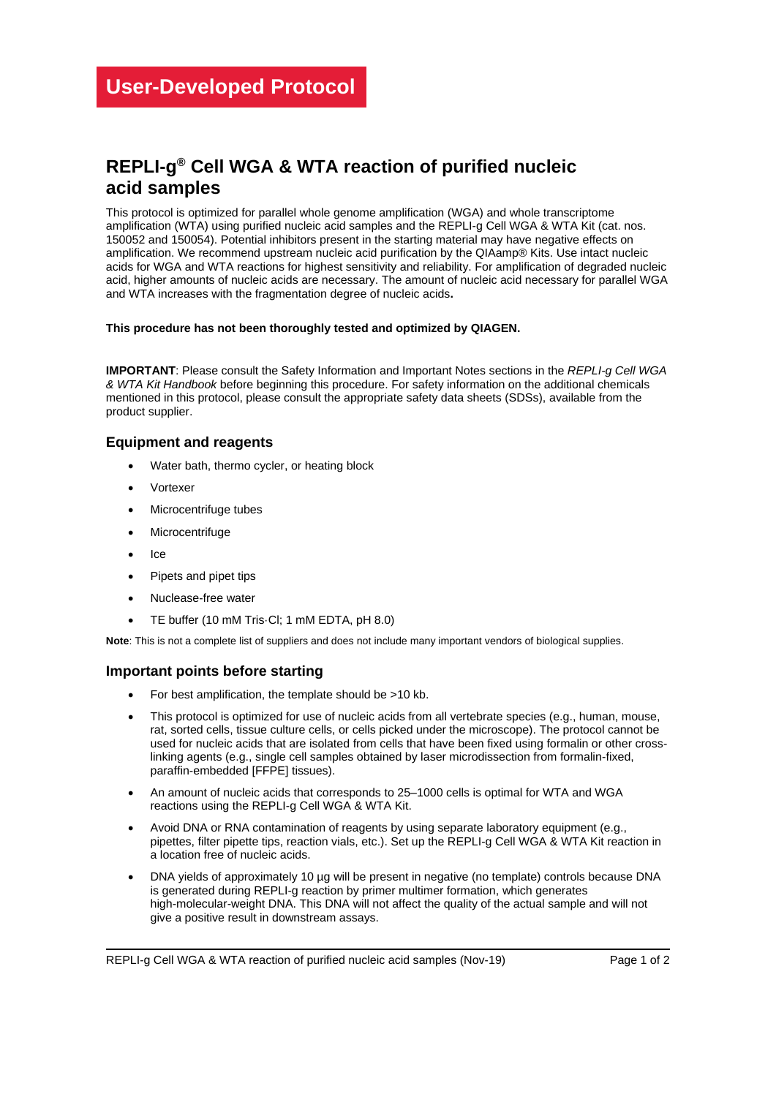# **REPLI-g ® Cell WGA & WTA reaction of purified nucleic acid samples**

This protocol is optimized for parallel whole genome amplification (WGA) and whole transcriptome amplification (WTA) using purified nucleic acid samples and the REPLI-g Cell WGA & WTA Kit (cat. nos. 150052 and 150054). Potential inhibitors present in the starting material may have negative effects on amplification. We recommend upstream nucleic acid purification by the QIAamp® Kits. Use intact nucleic acids for WGA and WTA reactions for highest sensitivity and reliability. For amplification of degraded nucleic acid, higher amounts of nucleic acids are necessary. The amount of nucleic acid necessary for parallel WGA and WTA increases with the fragmentation degree of nucleic acids**.**

#### **This procedure has not been thoroughly tested and optimized by QIAGEN.**

**IMPORTANT**: Please consult the Safety Information and Important Notes sections in the *REPLI-g Cell WGA & WTA Kit Handbook* before beginning this procedure. For safety information on the additional chemicals mentioned in this protocol, please consult the appropriate safety data sheets (SDSs), available from the product supplier.

### **Equipment and reagents**

- Water bath, thermo cycler, or heating block
- **Vortexer**
- Microcentrifuge tubes
- **Microcentrifuge**
- Ice
- Pipets and pipet tips
- Nuclease-free water
- TE buffer (10 mM Tris·Cl; 1 mM EDTA, pH 8.0)

**Note**: This is not a complete list of suppliers and does not include many important vendors of biological supplies.

## **Important points before starting**

- For best amplification, the template should be >10 kb.
- This protocol is optimized for use of nucleic acids from all vertebrate species (e.g., human, mouse, rat, sorted cells, tissue culture cells, or cells picked under the microscope). The protocol cannot be used for nucleic acids that are isolated from cells that have been fixed using formalin or other crosslinking agents (e.g., single cell samples obtained by laser microdissection from formalin-fixed, paraffin-embedded [FFPE] tissues).
- An amount of nucleic acids that corresponds to 25–1000 cells is optimal for WTA and WGA reactions using the REPLI-g Cell WGA & WTA Kit.
- Avoid DNA or RNA contamination of reagents by using separate laboratory equipment (e.g., pipettes, filter pipette tips, reaction vials, etc.). Set up the REPLI-g Cell WGA & WTA Kit reaction in a location free of nucleic acids.
- DNA yields of approximately 10 µg will be present in negative (no template) controls because DNA is generated during REPLI-g reaction by primer multimer formation, which generates high-molecular-weight DNA. This DNA will not affect the quality of the actual sample and will not give a positive result in downstream assays.